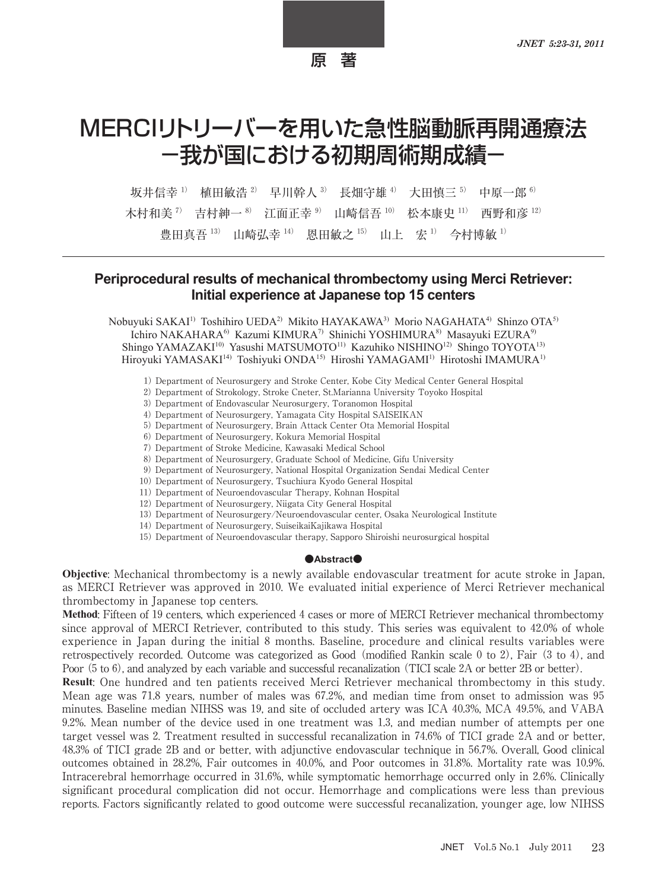原 著

# MERCIリトリーバーを用いた急性脳動脈再開通療法 -我が国における初期周術期成績-

坂井信幸 <sup>1)</sup> 植田敏浩 <sup>2)</sup> 早川幹人 <sup>3)</sup> 長畑守雄 <sup>4)</sup> 大田慎三 <sup>5)</sup> 中原一郎 <sup>6)</sup> 木村和美<sup>7)</sup> 吉村紳一<sup>8)</sup> 江面正幸<sup>9)</sup> 山崎信吾<sup>10)</sup> 松本康史<sup>11)</sup> 西野和彦<sup>12)</sup> 豊田真吾  $13$  山崎弘幸  $14$  恩田敏之  $15$  山上 宏  $1$  今村博敏  $1$ 

# **Periprocedural results of mechanical thrombectomy using Merci Retriever: Initial experience at Japanese top 15 centers**

Nobuyuki SAKAI<sup>1)</sup> Toshihiro UEDA<sup>2)</sup> Mikito HAYAKAWA<sup>3)</sup> Morio NAGAHATA<sup>4)</sup> Shinzo OTA<sup>5)</sup> Ichiro NAKAHARA<sup>6)</sup> Kazumi KIMURA<sup>7)</sup> Shinichi YOSHIMURA<sup>8)</sup> Masayuki EZURA<sup>9)</sup> Shingo YAMAZAKI<sup>10)</sup> Yasushi MATSUMOTO<sup>11)</sup> Kazuhiko NISHINO<sup>12)</sup> Shingo TOYOTA<sup>13)</sup> Hiroyuki YAMASAKI<sup>14)</sup> Toshiyuki ONDA<sup>15)</sup> Hiroshi YAMAGAMI<sup>1)</sup> Hirotoshi IMAMURA<sup>1)</sup>

- Department of Neurosurgery and Stroke Center, Kobe City Medical Center General Hospital
- Department of Strokology, Stroke Cneter, St.Marianna University Toyoko Hospital
- Department of Endovascular Neurosurgery, Toranomon Hospital
- Department of Neurosurgery, Yamagata City Hospital SAISEIKAN
- Department of Neurosurgery, Brain Attack Center Ota Memorial Hospital
- Department of Neurosurgery, Kokura Memorial Hospital
- Department of Stroke Medicine, Kawasaki Medical School
- Department of Neurosurgery, Graduate School of Medicine, Gifu University
- 9) Department of Neurosurgery, National Hospital Organization Sendai Medical Center
- 10) Department of Neurosurgery, Tsuchiura Kyodo General Hospital
- Department of Neuroendovascular Therapy, Kohnan Hospital
- 12) Department of Neurosurgery, Niigata City General Hospital
- Department of Neurosurgery/Neuroendovascular center, Osaka Neurological Institute
- Department of Neurosurgery, SuiseikaiKajikawa Hospital
- Department of Neuroendovascular therapy, Sapporo Shiroishi neurosurgical hospital

#### ●**Abstract**●

**Objective**: Mechanical thrombectomy is a newly available endovascular treatment for acute stroke in Japan, as MERCI Retriever was approved in 2010. We evaluated initial experience of Merci Retriever mechanical thrombectomy in Japanese top centers.

**Method:** Fifteen of 19 centers, which experienced 4 cases or more of MERCI Retriever mechanical thrombectomy since approval of MERCI Retriever, contributed to this study. This series was equivalent to 42.0% of whole experience in Japan during the initial 8 months. Baseline, procedure and clinical results variables were retrospectively recorded. Outcome was categorized as Good (modified Rankin scale 0 to 2), Fair (3 to 4), and Poor (5 to 6), and analyzed by each variable and successful recanalization (TICI scale 2A or better 2B or better).

**Result:** One hundred and ten patients received Merci Retriever mechanical thrombectomy in this study. Mean age was 71.8 years, number of males was 67.2%, and median time from onset to admission was 95 minutes. Baseline median NIHSS was 19, and site of occluded artery was ICA 40.3%, MCA 49.5%, and VABA 9.2%. Mean number of the device used in one treatment was 1.3, and median number of attempts per one target vessel was 2. Treatment resulted in successful recanalization in 74.6% of TICI grade 2A and or better, 48.3% of TICI grade 2B and or better, with adjunctive endovascular technique in 56.7%. Overall, Good clinical outcomes obtained in 28.2%, Fair outcomes in 40.0%, and Poor outcomes in 31.8%. Mortality rate was 10.9%. Intracerebral hemorrhage occurred in 31.6%, while symptomatic hemorrhage occurred only in 2.6%. Clinically significant procedural complication did not occur. Hemorrhage and complications were less than previous reports. Factors significantly related to good outcome were successful recanalization, younger age, low NIHSS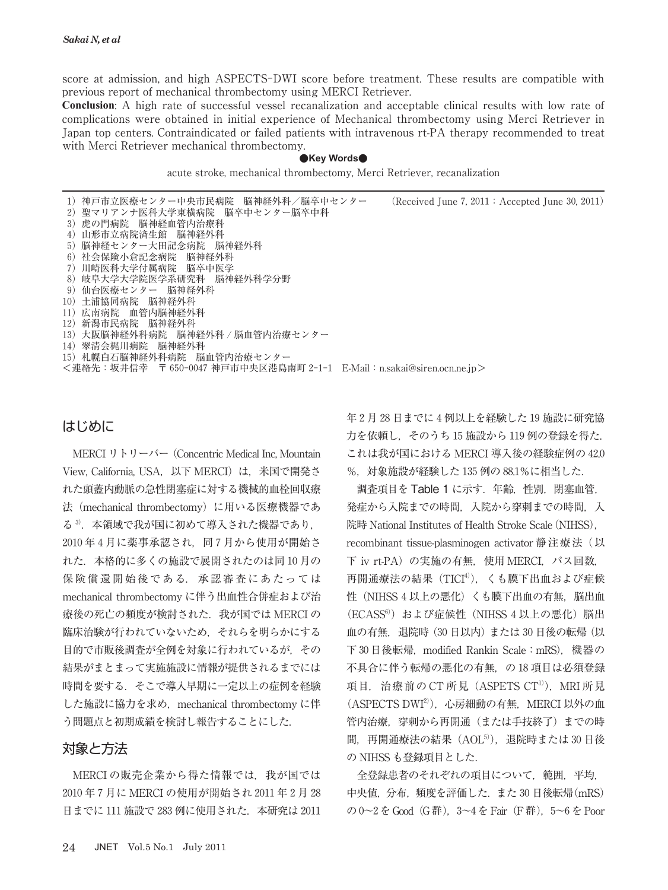score at admission, and high ASPECTS-DWI score before treatment. These results are compatible with previous report of mechanical thrombectomy using MERCI Retriever.

**Conclusion**: A high rate of successful vessel recanalization and acceptable clinical results with low rate of complications were obtained in initial experience of Mechanical thrombectomy using Merci Retriever in Japan top centers. Contraindicated or failed patients with intravenous rt-PA therapy recommended to treat with Merci Retriever mechanical thrombectomy.

#### ●**Key Words●**

acute stroke, mechanical thrombectomy, Merci Retriever, recanalization

1) 神戸市立医療センター中央市民病院 脳神経外科/脳卒中センター (Received June 7, 2011 : Accepted June 30, 2011) )聖マリアンナ医科大学東横病院 脳卒中センター脳卒中科 )虎の門病院 脳神経血管内治療科 )山形市立病院済生館 脳神経外科 )脳神経センター大田記念病院 脳神経外科 )社会保険小倉記念病院 脳神経外科 )川崎医科大学付属病院 脳卒中医学 )岐阜大学大学院医学系研究科 脳神経外科学分野 )仙台医療センター 脳神経外科 )土浦協同病院 脳神経外科 )広南病院 血管内脳神経外科 )新潟市民病院 脳神経外科 )大阪脳神経外科病院 脳神経外科 / 脳血管内治療センター )翠清会梶川病院 脳神経外科 )札幌白石脳神経外科病院 脳血管内治療センター

<連絡先:坂井信幸 〒 神戸市中央区港島南町 E-Mail:n.sakai@siren.ocn.ne.jp>

## はじめに

MERCI リトリーバー(Concentric Medical Inc, Mountain View, California, USA, 以下 MERCI) は、米国で開発さ れた頭蓋内動脈の急性閉塞症に対する機械的血栓回収療 法(mechanical thrombectomy)に用いる医療機器であ る $3$ . 本領域で我が国に初めて導入された機器であり. 2010年4月に薬事承認され、同7月から使用が開始さ れた. 本格的に多くの施設で展開されたのは同 10月の 保険償還開始後である. 承認審査にあたっては mechanical thrombectomy に伴う出血性合併症および治 療後の死亡の頻度が検討された. 我が国では MERCI の 臨床治験が行われていないため,それらを明らかにする 目的で市販後調査が全例を対象に行われているが,その 結果がまとまって実施施設に情報が提供されるまでには 時間を要する.そこで導入早期に一定以上の症例を経験 した施設に協力を求め、mechanical thrombectomy に伴 う問題点と初期成績を検討し報告することにした.

### 対象と方法

MERCI の販売企業から得た情報では、我が国では 2010年7月に MERCI の使用が開始され 2011年2月28 日までに 111 施設で 283 例に使用された. 本研究は 2011

年2月28日までに4例以上を経験した19施設に研究協 力を依頼し、そのうち 15 施設から 119 例の登録を得た. これは我が国における MERCI 導入後の経験症例の 42.0 %, 対象施設が経験した 135 例の 88.1%に相当した.

調査項目を Table 1 に示す. 年齢, 性別, 閉塞血管, 発症から入院までの時間,入院から穿刺までの時間,入 院時 National Institutes of Health Stroke Scale (NIHSS), recombinant tissue-plasminogen activator 静注療法(以 下 iv rt-PA) の実施の有無, 使用 MERCI, パス回数, 再開通療法の結果 (TICI<sup>4)</sup>), くも膜下出血および症候 性(NIHSS 4以上の悪化)くも膜下出血の有無, 脳出血 (ECASS<sup>6)</sup>) および症候性 (NIHSS 4 以上の悪化) 脳出 血の有無, 退院時(30日以内)または 30日後の転帰(以 下 30日後転帰, modified Rankin Scale: mRS), 機器の 不具合に伴う転帰の悪化の有無,の18項目は必須登録 項目, 治療前の CT 所見 (ASPETS CT<sup>1)</sup>), MRI 所見 (ASPECTS DWI<sup>2)</sup>), 心房細動の有無, MERCI 以外の血 管内治療,穿刺から再開通(または手技終了)までの時 問, 再開通療法の結果 (AOL5), 退院時または 30日後 の NIHSS も登録項目とした.

全登録患者のそれぞれの項目について,範囲,平均, 中央値, 分布, 頻度を評価した. また 30日後転帰 (mRS) の0~2をGood (G群), 3~4をFair (F群), 5~6をPoor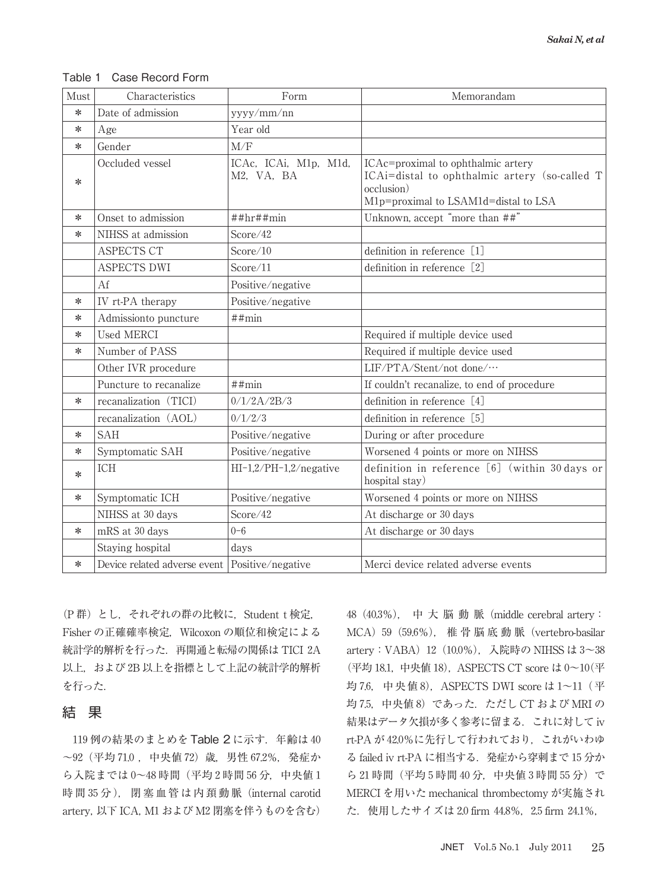| Table 1 Case Record Form |  |  |  |  |
|--------------------------|--|--|--|--|
|--------------------------|--|--|--|--|

| Must   | Characteristics              | Form                                | Memorandam                                                                                                                                 |
|--------|------------------------------|-------------------------------------|--------------------------------------------------------------------------------------------------------------------------------------------|
| $\ast$ | Date of admission            | yyyy/mm/nn                          |                                                                                                                                            |
| $\ast$ | Age                          | Year old                            |                                                                                                                                            |
| $\ast$ | Gender                       | M/F                                 |                                                                                                                                            |
| $\ast$ | Occluded vessel              | ICAc, ICAi, M1p, M1d,<br>M2, VA, BA | ICAc=proximal to ophthalmic artery<br>ICAi=distal to ophthalmic artery (so-called T)<br>occlusion)<br>M1p=proximal to LSAM1d=distal to LSA |
| $\ast$ | Onset to admission           | $\# \#hr \# \#min$                  | Unknown, accept "more than ##"                                                                                                             |
| ∗      | NIHSS at admission           | Score/42                            |                                                                                                                                            |
|        | <b>ASPECTS CT</b>            | Score/10                            | definition in reference [1]                                                                                                                |
|        | <b>ASPECTS DWI</b>           | Score/11                            | definition in reference [2]                                                                                                                |
|        | Af                           | Positive/negative                   |                                                                                                                                            |
| $\ast$ | IV rt-PA therapy             | Positive/negative                   |                                                                                                                                            |
| $\ast$ | Admissionto puncture         | $\# \# min$                         |                                                                                                                                            |
| ∗      | <b>Used MERCI</b>            |                                     | Required if multiple device used                                                                                                           |
| $\ast$ | Number of PASS               |                                     | Required if multiple device used                                                                                                           |
|        | Other IVR procedure          |                                     | LIF/PTA/Stent/not done/                                                                                                                    |
|        | Puncture to recanalize       | $\# \# min$                         | If couldn't recanalize, to end of procedure                                                                                                |
| $\ast$ | recanalization (TICI)        | 0/1/2A/2B/3                         | definition in reference [4]                                                                                                                |
|        | recanalization (AOL)         | 0/1/2/3                             | definition in reference [5]                                                                                                                |
| $\ast$ | <b>SAH</b>                   | Positive/negative                   | During or after procedure                                                                                                                  |
| $\ast$ | Symptomatic SAH              | Positive/negative                   | Worsened 4 points or more on NIHSS                                                                                                         |
| $\ast$ | ICH                          | $HI-1,2/PH-1,2/negative$            | definition in reference $[6]$ (within 30 days or<br>hospital stay)                                                                         |
| $\ast$ | Symptomatic ICH              | Positive/negative                   | Worsened 4 points or more on NIHSS                                                                                                         |
|        | NIHSS at 30 days             | Score/42                            | At discharge or 30 days                                                                                                                    |
| *      | mRS at 30 days               | $0 - 6$                             | At discharge or 30 days                                                                                                                    |
|        | Staying hospital             | days                                |                                                                                                                                            |
| $\ast$ | Device related adverse event | Positive/negative                   | Merci device related adverse events                                                                                                        |

(P群)とし、それぞれの群の比較に、Student t 検定, Fisher の正確確率検定, Wilcoxon の順位和検定による 統計学的解析を行った. 再開通と転帰の関係は TICI 2A 以上, および 2B 以上を指標として上記の統計学的解析 を行った.

# 結 果

119 例の結果のまとめを Table 2 に示す. 年齢は 40 ~92 (平均 71.0, 中央値 72) 歳, 男性 67.2%, 発症か ら入院までは 0~48時間(平均2時間56分,中央値1 時間 35分), 閉塞血管は内頚動脈 (internal carotid artery, 以下 ICA, M1 および M2 閉塞を伴うものを含む)

(.%), 中 大 脳 動 脈(middle cerebral artery: MCA) 59 (59.6%), 椎骨脳底動脈 (vertebro-basilar artery: VABA) 12 (10.0%), 入院時の NIHSS は 3~38 (平均 18.1, 中央値 18), ASPECTS CT score は 0~10(平 均 7.6, 中央値 8), ASPECTS DWI score は 1~11 (平 均 7.5, 中央値 8) であった. ただし CT および MRI の 結果はデータ欠損が多く参考に留まる.これに対して iv rt-PA が 42.0%に先行して行われており、これがいわゆ る failed iv rt-PA に相当する. 発症から穿刺まで 15 分か ら 21時間(平均5時間40分,中央値3時間55分)で MERCI を用いた mechanical thrombectomy が実施され た. 使用したサイズは 2.0 firm 44.8%, 2.5 firm 24.1%,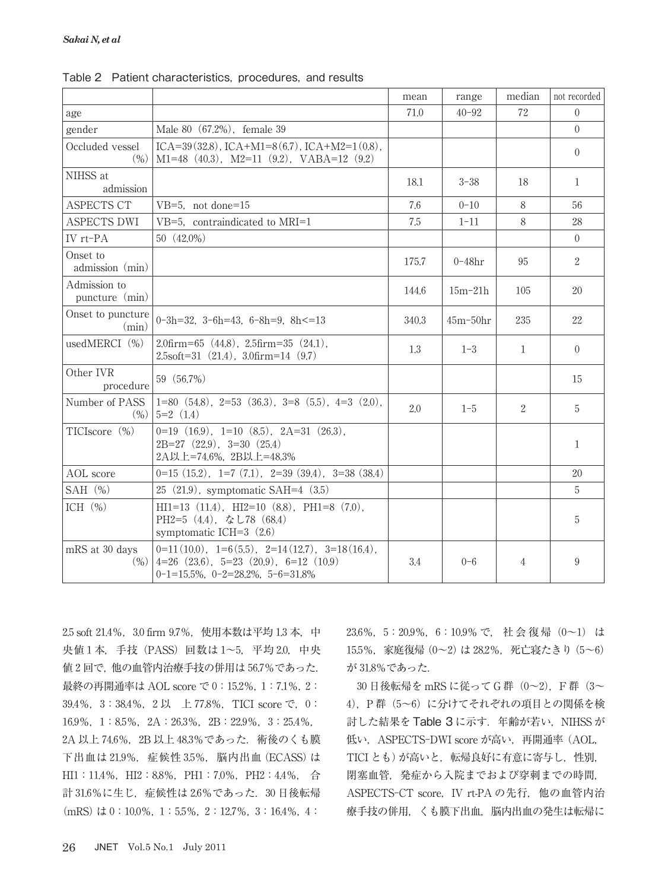|                                     |                                                                                                                                                | mean  | range        | median       | not recorded   |
|-------------------------------------|------------------------------------------------------------------------------------------------------------------------------------------------|-------|--------------|--------------|----------------|
| age                                 |                                                                                                                                                | 71.0  | $40 - 92$    | 72           | $\Omega$       |
| gender                              | Male 80 (67.2%), female 39                                                                                                                     |       |              |              | $\Omega$       |
| Occluded vessel<br>(96)             | ICA=39(32.8), ICA+M1=8(6.7), ICA+M2=1(0.8),<br>$M1=48$ (40.3), $M2=11$ (9.2), VABA=12 (9.2)                                                    |       |              |              | $\Omega$       |
| NIHSS at<br>admission               |                                                                                                                                                | 18.1  | $3 - 38$     | 18           | $\mathbf{1}$   |
| <b>ASPECTS CT</b>                   | $VB=5$ , not done = 15                                                                                                                         | 7.6   | $0 - 10$     | 8            | 56             |
| <b>ASPECTS DWI</b>                  | VB=5, contraindicated to MRI=1                                                                                                                 | 7.5   | $1 - 11$     | 8            | 28             |
| $IV$ rt- $PA$                       | $50(42.0\%)$                                                                                                                                   |       |              |              | $\Omega$       |
| Onset to<br>admission (min)         |                                                                                                                                                | 175.7 | $0 - 48hr$   | 95           | $\overline{2}$ |
| Admission to<br>puncture (min)      |                                                                                                                                                | 144.6 | $15m-21h$    | 105          | 20             |
| Onset to puncture<br>(min)          | $0-3h=32$ , $3-6h=43$ , $6-8h=9$ , $8h \le 13$                                                                                                 | 340.3 | $45m - 50hr$ | 235          | 22             |
| usedMERCI (%)                       | $2.0$ firm=65 (44.8), $2.5$ firm=35 (24.1),<br>$2.5\text{soft}=31$ $(21.4)$ , $3.0\text{firm}=14$ $(9.7)$                                      | 1.3   | $1 - 3$      | $\mathbf{1}$ | $\overline{0}$ |
| Other IVR<br>procedure              | 59 (56.7%)                                                                                                                                     |       |              |              | 15             |
| Number of PASS<br>(9 <sub>0</sub> ) | $1=80$ (54,8), $2=53$ (36,3), $3=8$ (5,5), $4=3$ (2,0),<br>$5=2(1.4)$                                                                          | 2.0   | $1 - 5$      | $\sqrt{2}$   | 5              |
| TICIscore (%)                       | $0=19$ $(16.9)$ , $1=10$ $(8.5)$ , $2A=31$ $(26.3)$ ,<br>$2B=27$ $(22.9)$ , $3=30$ $(25.4)$<br>2A以上=74.6%,2B以上=48.3%                           |       |              |              | 1              |
| AOL score                           | $0=15(15.2), 1=7(7.1), 2=39(39.4), 3=38(38.4)$                                                                                                 |       |              |              | 20             |
| $SAH$ $(\%)$                        | 25 $(21.9)$ , symptomatic SAH=4 $(3.5)$                                                                                                        |       |              |              | 5              |
| ICH $(\%)$                          | $HII=13$ (11.4), $HI2=10$ (8.8), PH1=8 (7.0),<br>PH2=5 (4.4), なし78 (68.4)<br>symptomatic ICH= $3(2.6)$                                         |       |              |              | 5              |
| mRS at 30 days<br>(96)              | $0=11(10.0), 1=6(5.5), 2=14(12.7), 3=18(16.4),$<br>$4=26$ $(23.6)$ , $5=23$ $(20.9)$ , $6=12$ $(10.9)$<br>$0-1=15.5\%, 0-2=28.2\%, 5-6=31.8\%$ | 3.4   | $0 - 6$      | 4            | 9              |

Table 2 Patient characteristics, procedures, and results

2.5 soft 21.4%, 3.0 firm 9.7%, 使用本数は平均 1.3 本, 中 央値 1本, 手技 (PASS) 回数は 1~5, 平均 2.0, 中央 値 2回で,他の血管内治療手技の併用は 56.7%であった. 最終の再開通率は AOL score で 0:15.2%, 1:7.1%, 2: 39.4%,  $3:38.4\%$ ,  $2 \cancel{\cup}$   $\pm$  77.8%, TICI score  $\vec{c}$ , 0: 16.9%,  $1:8.5\%$ ,  $2A:26.3\%$ ,  $2B:22.9\%$ ,  $3:25.4\%$ , 2A 以上 74.6%, 2B 以上 48.3%であった. 術後のくも膜 下出血は 21.9%, 症候性 3.5%, 脳内出血 (ECASS) は HI1:11.4%, HI2:8.8%, PH1:7.0%, PH2:4.4%, 合 計 31.6%に生じ、症候性は 2.6%であった. 30日後転帰  $(mRS)$  は 0 : 10.0%, 1 : 5.5%, 2 : 12.7%, 3 : 16.4%, 4 :

23.6%, 5:20.9%, 6:10.9%で、社会復帰(0~1) は 15.5%, 家庭復帰 (0~2) は 28.2%, 死亡寝たきり (5~6) が 31.8%であった.

30日後転帰を mRS に従って G 群 (0~2), F 群 (3~ 4). P群(5~6)に分けてそれぞれの項目との関係を検 討した結果を Table 3 に示す. 年齢が若い, NIHSS が 低い, ASPECTS-DWI score が高い, 再開通率 (AOL, TICI とも)が高いと、転帰良好に有意に寄与し、性別, 閉塞血管,発症から入院までおよび穿刺までの時間, ASPECTS-CT score, IV rt-PA の先行, 他の血管内治 療手技の併用, くも膜下出血, 脳内出血の発生は転帰に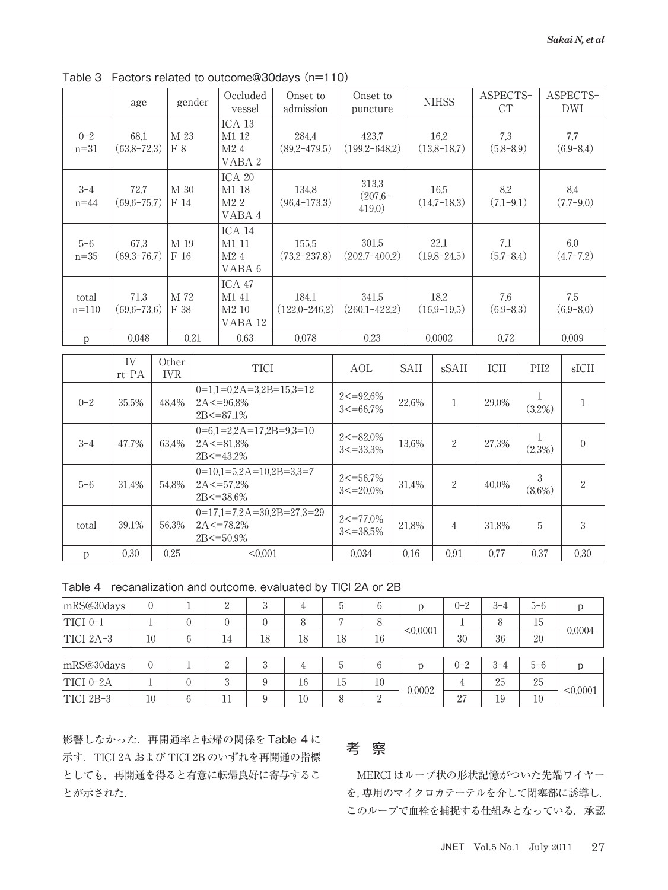|                    | age                     |                               | Occluded<br>gender<br>vessel |                                                                   | Onset to<br>admission            | Onset to<br>puncture             |                                       |                         | <b>NIHSS</b>         | ASPECTS-<br><b>CT</b> |                           |                      | ASPECTS-<br><b>DWI</b> |
|--------------------|-------------------------|-------------------------------|------------------------------|-------------------------------------------------------------------|----------------------------------|----------------------------------|---------------------------------------|-------------------------|----------------------|-----------------------|---------------------------|----------------------|------------------------|
| $0 - 2$<br>$n=31$  | 68.1<br>$(63.8 - 72.3)$ | $\mathbf{M}$ 23<br>F 8        |                              | ICA 13<br>M1 12<br>$\rm M2$ $4$<br>VABA 2                         | 284.4<br>$(89.2 - 479.5)$        | 423.7<br>$(199.2 - 648.2)$       |                                       | 16.2<br>$(13.8 - 18.7)$ | 7.3<br>$(5.8 - 8.9)$ |                       |                           | 7.7<br>$(6.9 - 8.4)$ |                        |
| $3 - 4$<br>$n=44$  | 72.7<br>$(69.6 - 75.7)$ | $\mathbf{M}$ 30<br>$\rm F$ 14 |                              | ICA 20<br>M1 18<br>134.8<br>M22<br>$(96.4 - 173.3)$<br>VABA 4     |                                  | 313.3<br>419.0)                  | 16.5<br>$(207.6 -$<br>$(14.7 - 18.3)$ |                         | 8.2<br>$(7.1 - 9.1)$ |                       |                           | 8.4<br>$(7.7-9.0)$   |                        |
| $5 - 6$<br>$n=35$  | 67.3<br>$(69.3 - 76.7)$ | $\mathbf{M}$ 19<br>F 16       |                              | ICA 14<br>M1 11<br>M24<br>VABA 6                                  | 155.5<br>$(73.2 - 237.8)$        | 301.5<br>$(202.7 - 400.2)$       |                                       | 22.1<br>$(19.8 - 24.5)$ |                      | 7.1<br>$(5.7 - 8.4)$  |                           |                      | 6.0<br>$(4.7 - 7.2)$   |
| total<br>$n = 110$ | 71.3<br>$(69.6 - 73.6)$ | M 72<br>F 38                  |                              | ICA 47<br>M1 41<br>M2 10<br>VABA 12                               | 184.1<br>$(122.0 - 246.2)$       | 341.5<br>$(260.1 - 422.2)$       |                                       | 18.2<br>$(16.9 - 19.5)$ |                      | 7.6<br>$(6.9 - 8.3)$  |                           | 7.5<br>$(6.9 - 8.0)$ |                        |
| $\mathbf{p}$       | 0.048                   |                               | 0.21                         | 0.63                                                              | 0.078                            | 0.23                             |                                       |                         | 0.0002               | 0.72                  |                           |                      | 0.009                  |
|                    | IV<br>$rt$ -PA          | Other<br><b>IVR</b>           |                              | <b>TICI</b>                                                       |                                  | AOL                              |                                       | <b>SAH</b>              | sSAH                 | $\rm ICH$             | PH <sub>2</sub>           |                      | sICH                   |
| $0 - 2$            | 35.5%                   | 48.4%                         |                              | $0=1,1=0,2A=3,2B=15,3=12$<br>$2A < = 96.8\%$<br>$2B < = 87.1\%$   |                                  | $2 < = 92.6\%$<br>$3 < = 66.7\%$ |                                       | 22.6%<br>$\mathbf{1}$   |                      | 29.0%                 | $\mathbf{1}$<br>$(3.2\%)$ |                      | $\mathbf{1}$           |
| $3 - 4$            | 47.7%                   | 63.4%                         |                              | $0=6.1=2.2A=17.2B=9.3=10$<br>$2A < = 81.8\%$<br>2B<=43.2%         |                                  | $2 < = 82.0\%$<br>$3 < = 33.3\%$ |                                       | 13.6%                   | $\,2$                | 27.3%                 | $\mathbf 1$<br>$(2.3\%)$  |                      | $\boldsymbol{0}$       |
| $5 - 6$            | 31.4%                   | 54.8%                         |                              | $0=10,1=5,2A=10,2B=3,3=7$<br>$2A < = 57.2\%$<br>$2B < = 38.6\%$   | $2 < = 56.7\%$<br>$3 < = 20.0\%$ |                                  | 31.4%                                 | $\overline{2}$          | 40.0%                | 3<br>$(8.6\%)$        |                           | $\overline{2}$       |                        |
| total              | 39.1%                   | 56.3%                         |                              | $0=17,1=7,2A=30,2B=27,3=29$<br>$2A < = 78.2\%$<br>$2B < = 50.9\%$ |                                  | $2 < = 77.0\%$<br>$3 < = 38.5\%$ |                                       | 21.8%                   | $\overline{4}$       | 31.8%                 | $\overline{5}$            |                      | $\mathbf{3}$           |
| $\mathbf{p}$       | 0.30                    | 0.25                          |                              | < 0.001                                                           |                                  | 0.034                            |                                       | 0.16                    | 0.91                 | 0.77                  | 0.37                      |                      | 0.30                   |

Table 3 Factors related to outcome@30days (n=110)

Table 4 recanalization and outcome, evaluated by TICI 2A or 2B

| mRS@30days | $\theta$ |   | $\Omega$ | 3  | 4  | 5              | 6              | p        | $0 - 2$ | $3 - 4$ | $5 - 6$ | p        |  |
|------------|----------|---|----------|----|----|----------------|----------------|----------|---------|---------|---------|----------|--|
| TICI 0-1   |          |   |          | 0  | 8  | $\overline{ }$ | 8              |          |         | 8       | 15      |          |  |
| TICI 2A-3  | 10       | 6 | 14       | 18 | 18 | 18             | 16             | < 0.0001 | 30      | 36      | 20      | 0.0004   |  |
|            |          |   |          |    |    |                |                |          |         |         |         |          |  |
| mRS@30days | 0        |   | $\Omega$ | 3  | 4  | $\overline{O}$ | 6              | p        | $0 - 2$ | $3 - 4$ | $5 - 6$ | p        |  |
| TICI 0-2A  |          |   | 3        |    | 16 | 15             | 10             |          |         | 25      | 25      |          |  |
| TICI 2B-3  | 10       |   | 11       | 9  | 10 | 8              | $\overline{2}$ | 0.0002   | 27      | 19      | 10      | < 0.0001 |  |

影響しなかった.再開通率と転帰の関係を Table 4 に 示す. TICI 2A および TICI 2B のいずれを再開通の指標 としても,再開通を得ると有意に転帰良好に寄与するこ とが示された.

# 考 察

MERCI はループ状の形状記憶がついた先端ワイヤー を,専用のマイクロカテーテルを介して閉塞部に誘導し, このループで血栓を捕捉する仕組みとなっている. 承認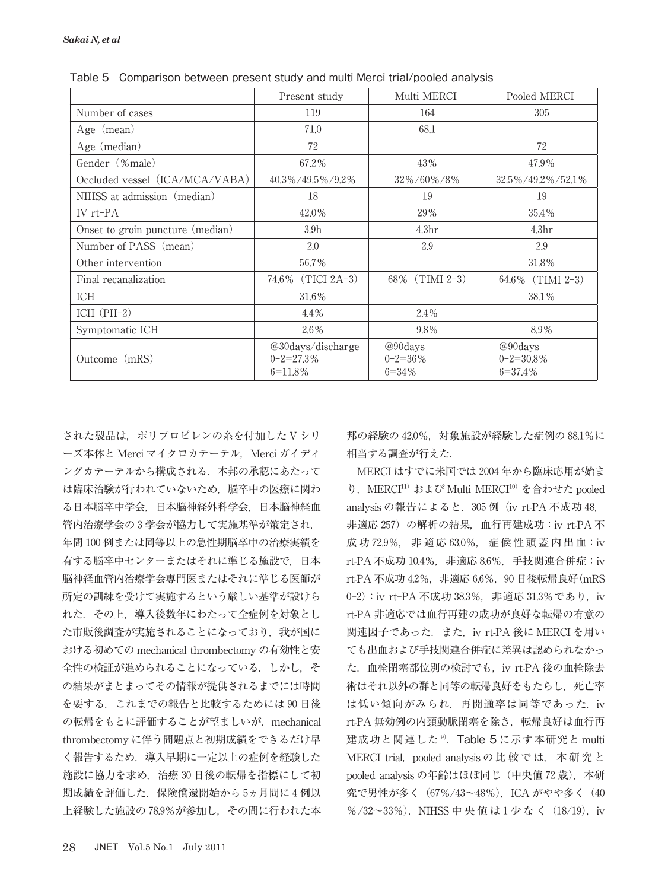|                                  | Present study                                         | Multi MERCI                             | Pooled MERCI                               |
|----------------------------------|-------------------------------------------------------|-----------------------------------------|--------------------------------------------|
| Number of cases                  | 119                                                   | 164                                     | 305                                        |
| Age (mean)                       | 71.0                                                  | 68.1                                    |                                            |
| Age (median)                     | 72                                                    |                                         | 72                                         |
| Gender (%male)                   | 67.2%                                                 | 43%                                     | 47.9%                                      |
| Occluded vessel (ICA/MCA/VABA)   | 40.3%/49.5%/9.2%                                      | 32%/60%/8%                              | 32.5%/49.2%/52.1%                          |
| NIHSS at admission (median)      | 18                                                    | 19                                      | 19                                         |
| IV rt-PA                         | 42.0%                                                 | 29%                                     | 35.4%                                      |
| Onset to groin puncture (median) | 3.9 <sub>h</sub>                                      | 4.3 <sub>hr</sub>                       | 4.3 <sub>hr</sub>                          |
| Number of PASS (mean)            | 2.0                                                   | 2.9                                     | 2.9                                        |
| Other intervention               | 56.7%                                                 |                                         | 31.8%                                      |
| Final recanalization             | $(TICI 2A-3)$<br>74.6%                                | 68\% (TIMI 2-3)                         | 64.6% (TIMI 2-3)                           |
| ICH                              | 31.6%                                                 |                                         | 38.1%                                      |
| ICH $(PH-2)$                     | 4.4%                                                  | 2.4%                                    |                                            |
| Symptomatic ICH                  | 2.6%                                                  | 9.8%                                    | 8.9%                                       |
| Outcome (mRS)                    | @30days/discharge<br>$0 - 2 = 27.3\%$<br>$6 = 11.8\%$ | @90days<br>$0 - 2 = 36\%$<br>$6 = 34\%$ | @90days<br>$0 - 2 = 30.8\%$<br>$6 = 37.4%$ |

Table 5 Comparison between present study and multi Merci trial/pooled analysis

された製品は,ポリプロピレンの糸を付加した V シリ ーズ本体と Merci マイクロカテーテル, Merci ガイディ ングカテーテルから構成される. 本邦の承認にあたって は臨床治験が行われていないため、脳卒中の医療に関わ る日本脳卒中学会,日本脳神経外科学会,日本脳神経血 管内治療学会の3学会が協力して実施基準が策定され, 年間 100例または同等以上の急性期脳卒中の治療実績を 有する脳卒中センターまたはそれに準じる施設で,日本 脳神経血管内治療学会専門医またはそれに準じる医師が 所定の訓練を受けて実施するという厳しい基準が設けら れた.その上,導入後数年にわたって全症例を対象とし た市販後調査が実施されることになっており、我が国に おける初めての mechanical thrombectomy の有効性と安 全性の検証が進められることになっている。しかし、そ の結果がまとまってその情報が提供されるまでには時間 を要する. これまでの報告と比較するためには 90日後 の転帰をもとに評価することが望ましいが, mechanical thrombectomy に伴う問題点と初期成績をできるだけ早 く報告するため,導入早期に一定以上の症例を経験した 施設に協力を求め、治療 30日後の転帰を指標にして初 期成績を評価した. 保険償還開始から 5ヵ月間に4例以 上経験した施設の 78.9%が参加し、その間に行われた本

邦の経験の 42.0%, 対象施設が経験した症例の 88.1%に 相当する調査が行えた.

MERCI はすでに米国では 2004 年から臨床応用が始ま り, MERCI<sup>11)</sup> および Multi MERCI<sup>10)</sup> を合わせた pooled analysis の報告によると, 305 例 (iv rt-PA 不成功 48, 非適応 257) の解析の結果, 血行再建成功: iv rt-PA 不 成功 72.9%, 非適応 63.0%, 症候性頭蓋内出血: iv rt-PA 不成功 10.4%, 非適応 8.6%, 手技関連合併症: iv rt-PA 不成功 4.2%, 非適応 6.6%, 90 日後転帰良好(mRS 0-2): iv rt-PA 不成功 38.3%, 非適応 31.3%であり, iv rt-PA 非適応では血行再建の成功が良好な転帰の有意の 関連因子であった. また. iv rt-PA 後に MERCI を用い ても出血および手技関連合併症に差異は認められなかっ た.血栓閉塞部位別の検討でも,iv rt-PA 後の血栓除去 術はそれ以外の群と同等の転帰良好をもたらし,死亡率 は低い傾向がみられ,再開通率は同等であった.iv rt-PA 無効例の内頸動脈閉塞を除き、転帰良好は血行再 建成功と関連した<sup>9)</sup>. Table 5 に示す本研究と multi MERCI trial, pooled analysis の 比 較 で は, 本 研 究 と pooled analysis の年齢はほぼ同じ (中央値 72歳), 本研 究で男性が多く (67%/43~48%), ICA がやや多く (40 %/32~33%), NIHSS 中 央 値 は 1 少 な く (18/19), iv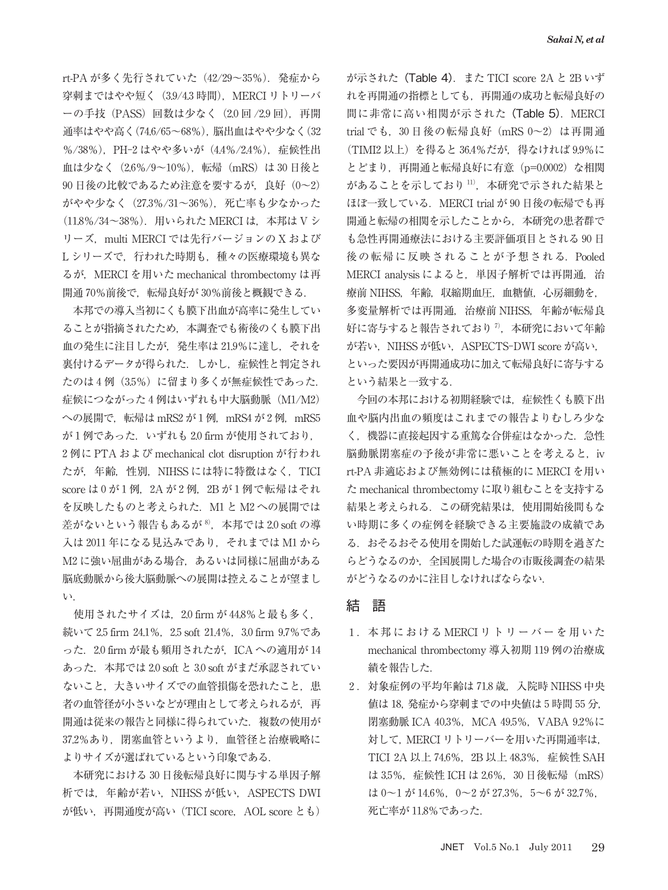rt-PA が多く先行されていた (42/29~35%). 発症から 穿刺まではやや短く (3.9/4.3 時間), MERCI リトリーバ ーの手技 (PASS) 回数は少なく (2.0回 /2.9回), 再開 通率はやや高く(74.6/65~68%), 脳出血はやや少なく(32 %/38%), PH-2 はやや多いが (4.4%/2.4%), 症候性出 血は少なく (2.6%/9~10%), 転帰 (mRS) は 30 日後と  $90$ 日後の比較であるため注意を要するが、良好 $(0~2)$ がやや少なく (27.3%/31~36%), 死亡率も少なかった (11.8%/34~38%). 用いられた MERCI は、本邦は V シ リーズ, multi MERCI では先行バージョンの X および L シリーズで、行われた時期も, 種々の医療環境も異な るが,MERCI を用いた mechanical thrombectomy は再 開通70%前後で、転帰良好が 30%前後と概観できる.

本邦での導入当初にくも膜下出血が高率に発生してい ることが指摘されたため,本調査でも術後のくも膜下出 血の発生に注目したが、発生率は 21.9%に達し、それを 裏付けるデータが得られた.しかし,症候性と判定され たのは4例 (3.5%)に留まり多くが無症候性であった. 症候につながった 例はいずれも中大脳動脈(M/M) への展開で, 転帰は mRS2 が 1 例, mRS4 が 2 例, mRS5 が1例であった. いずれも 2.0 firm が使用されており. 例に PTA および mechanical clot disruption が行われ たが、年齢,性別, NIHSS には特に特徴はなく、TICI score は 0 が 1 例, 2A が 2 例, 2B が 1 例で転帰はそれ を反映したものと考えられた. M1 と M2への展開では 差がないという報告もあるが ${}^{8}$ . 本邦では 2.0 soft の導 入は 2011 年になる見込みであり、それまでは M1 から M2 に強い屈曲がある場合、あるいは同様に屈曲がある 脳底動脈から後大脳動脈への展開は控えることが望まし い.

使用されたサイズは、2.0 firm が 44.8%と最も多く, 続いて 2.5 firm 24.1%, 2.5 soft 21.4%, 3.0 firm 9.7%であ った. 2.0 firm が最も頻用されたが, ICA への適用が 14 あった. 本邦では 2.0 soft と 3.0 soft がまだ承認されてい ないこと、大きいサイズでの血管損傷を恐れたこと,患 者の血管径が小さいなどが理由として考えられるが、再 開通は従来の報告と同様に得られていた.複数の使用が 37.2%あり、閉塞血管というより、血管径と治療戦略に よりサイズが選ばれているという印象である.

本研究における 30日後転帰良好に関与する単因子解 析では、年齢が若い, NIHSS が低い, ASPECTS DWI が低い,再開通度が高い (TICI score, AOL score とも)

が示された (Table 4). また TICI score 2A と 2B いず れを再開通の指標としても,再開通の成功と転帰良好の 間に非常に高い相関が示された (Table 5). MERCI trial でも, 30日後の転帰良好 (mRS 0~2) は再開通 (TIMI2 以上) を得ると 36.4%だが、得なければ 9.9%に とどまり、再開通と転帰良好に有意 (p=0.0002) な相関 があることを示しており 11). 本研究で示された結果と ほぼ一致している. MERCI trial が 90 日後の転帰でも再 開通と転帰の相関を示したことから,本研究の患者群で も急性再開通療法における主要評価項目とされる 90日 後の転帰に反映されることが予想される.Pooled MERCI analysis によると、単因子解析では再開通, 治 療前 NIHSS,年齢,収縮期血圧,血糖値,心房細動を, 多変量解析では再開通,治療前 NIHSS,年齢が転帰良 好に寄与すると報告されており<sup>7</sup>, 本研究において年齢 が若い, NIHSS が低い, ASPECTS-DWI score が高い, といった要因が再開通成功に加えて転帰良好に寄与する という結果と一致する.

**今回の本邦における初期経験では, 症候性くも膜下出** 血や脳内出血の頻度はこれまでの報告よりむしろ少な く,機器に直接起因する重篤な合併症はなかった.急性 脳動脈閉塞症の予後が非常に悪いことを考えると. iv rt-PA 非適応および無効例には積極的に MERCI を用い た mechanical thrombectomy に取り組むことを支持する 結果と考えられる.この研究結果は,使用開始後間もな い時期に多くの症例を経験できる主要施設の成績であ る.おそるおそる使用を開始した試運転の時期を過ぎた らどうなるのか,全国展開した場合の市販後調査の結果 がどうなるのかに注目しなければならない.

# 結 語

- 1. 本邦における MERCI リトリーバーを用いた mechanical thrombectomy 導入初期 例の治療成 績を報告した.
- 2.対象症例の平均年齢は 71.8 歳,入院時 NIHSS 中央 値は 18, 発症から穿刺までの中央値は 5 時間 55 分. 閉塞動脈 ICA 40.3%, MCA 49.5%, VABA 9.2%に 対して,MERCI リトリーバーを用いた再開通率は, TICI 2A 以上 74.6%, 2B 以上 48.3%, 症候性 SAH は 3.5%, 症候性 ICH は 2.6%, 30日後転帰 (mRS) は 0~1 が 14.6%, 0~2 が 27.3%, 5~6 が 32.7%, 死亡率が 11.8%であった.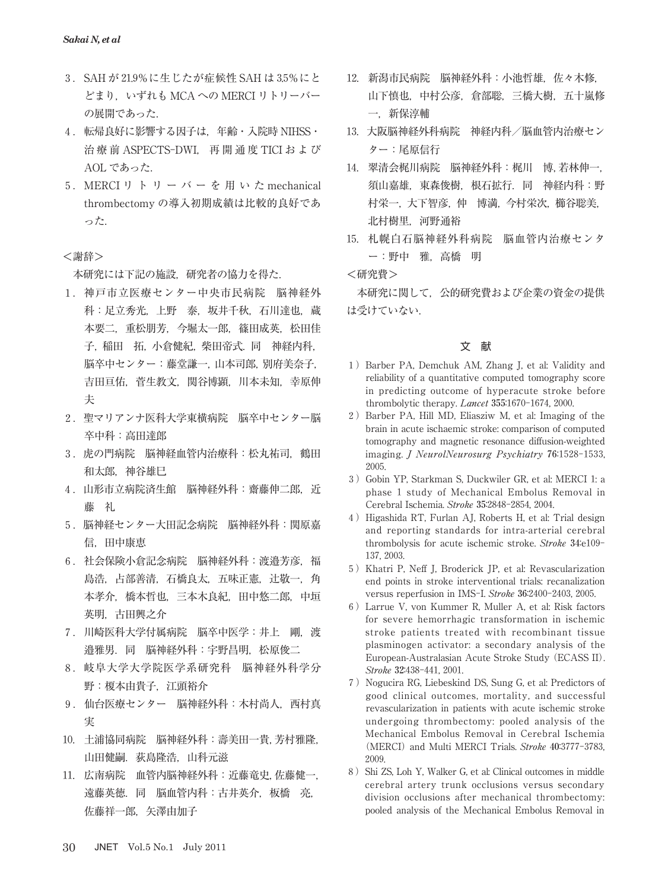- 3. SAH が 21.9%に生じたが症候性 SAH は 3.5%にと どまり、いずれも MCA への MERCI リトリーバー の展開であった.
- 4. 転帰良好に影響する因子は、年齢・入院時 NIHSS・ 治療前 ASPECTS-DWI, 再開通度 TICI および AOL であった.
- 5. MERCI リ ト リ ー バ ー を 用 い た mechanical thrombectomy の導入初期成績は比較的良好であ った.

#### <謝辞>

本研究には下記の施設,研究者の協力を得た.

- 1. 神戸市立医療センター中央市民病院 脳神経外 科:足立秀光, 上野 泰, 坂井千秋, 石川達也, 蔵 本要二,重松朋芳,今堀太一郎,篠田成英,松田佳 子, 稲田 拓, 小倉健紀, 柴田帝式. 同 神経内科, 脳卒中センター:藤堂謙一,山本司郎,別府美奈子, 吉田亘佑,菅生教文,関谷博顕,川本未知,幸原伸 夫
- 2. 聖マリアンナ医科大学東横病院 脳卒中センター脳 卒中科:高田達郎
- 3. 虎の門病院 脳神経血管内治療科:松丸祐司, 鶴田 和太郎,神谷雄巳
- 4. 山形市立病院済生館 脳神経外科:齋藤伸二郎, 近 藤 礼
- 㧟.脳神経センター大田記念病院 脳神経外科:関原嘉 信,田中康恵
- 㧠.社会保険小倉記念病院 脳神経外科:渡邉芳彦,福 島浩,占部善清,石橋良太,五味正憲,辻敬一,角 本孝介,橋本哲也,三本木良紀,田中悠二郎,中垣 英明, 古田興之介
- 㧡.川崎医科大学付属病院 脳卒中医学:井上 剛,渡 邉雅男.同 脳神経外科:宇野昌明,松原俊二
- 㧢.岐阜大学大学院医学系研究科 脳神経外科学分 野:榎本由貴子,江頭裕介
- 9. 仙台医療センター 脳神経外科:木村尚人, 西村真 実
- .土浦協同病院 脳神経外科:壽美田一貴,芳村雅隆, 山田健嗣. 荻島隆浩, 山科元滋
- .広南病院 血管内脳神経外科:近藤竜史,佐藤健一, 遠藤英徳.同 脳血管内科:古井英介,板橋 亮, 佐藤祥一郎, 矢澤由加子
- .新潟市民病院 脳神経外科:小池哲雄,佐々木修, 山下慎也,中村公彦,倉部聡,三橋大樹,五十嵐修 一,新保淳輔
- .大阪脳神経外科病院 神経内科/脳血管内治療セン ター:尾原信行
- .翠清会梶川病院 脳神経外科:梶川 博,若林伸一, 須山嘉雄,東森俊樹,根石拡行.同 神経内科:野 村栄一,大下智彦,仲 博満,今村栄次,櫛谷聡美, 北村樹里, 河野通裕
- .札幌白石脳神経外科病院 脳血管内治療センタ ー:野中 雅,高橋 明

<研究費>

本研究に関して,公的研究費および企業の資金の提供 は受けていない.

#### 文 献

- 1) Barber PA, Demchuk AM, Zhang J, et al: Validity and reliability of a quantitative computed tomography score in predicting outcome of hyperacute stroke before thrombolytic therapy. *Lancet* 355:1670-1674, 2000.
- 2) Barber PA, Hill MD, Eliasziw M, et al: Imaging of the brain in acute ischaemic stroke: comparison of computed tomography and magnetic resonance diffusion-weighted imaging. *J NeurolNeurosurg Psychiatry* 76:1528-1533, 2005
- 3) Gobin YP, Starkman S, Duckwiler GR, et al: MERCI 1: a phase 1 study of Mechanical Embolus Removal in Cerebral Ischemia. Stroke 35:2848-2854, 2004.
- 㧞)Higashida RT, Furlan AJ, Roberts H, et al: Trial design and reporting standards for intra-arterial cerebral thrombolysis for acute ischemic stroke. Stroke 34-e109-137, 2003.
- 㧟)Khatri P, Neff J, Broderick JP, et al: Revascularization end points in stroke interventional trials: recanalization versus reperfusion in IMS-I. Stroke 36:2400-2403, 2005.
- 㧠)Larrue V, von Kummer R, Muller A, et al: Risk factors for severe hemorrhagic transformation in ischemic stroke patients treated with recombinant tissue plasminogen activator: a secondary analysis of the European-Australasian Acute Stroke Study (ECASS II). Stroke 32:438-441, 2001.
- 㧡)Nogucira RG, Liebeskind DS, Sung G, et al: Predictors of good clinical outcomes, mortality, and successful revascularization in patients with acute ischemic stroke undergoing thrombectomy: pooled analysis of the Mechanical Embolus Removal in Cerebral Ischemia (MERCI) and Multi MERCI Trials. Stroke 40:3777-3783, 2009.
- 㧢)Shi ZS, Loh Y, Walker G, et al: Clinical outcomes in middle cerebral artery trunk occlusions versus secondary division occlusions after mechanical thrombectomy: pooled analysis of the Mechanical Embolus Removal in